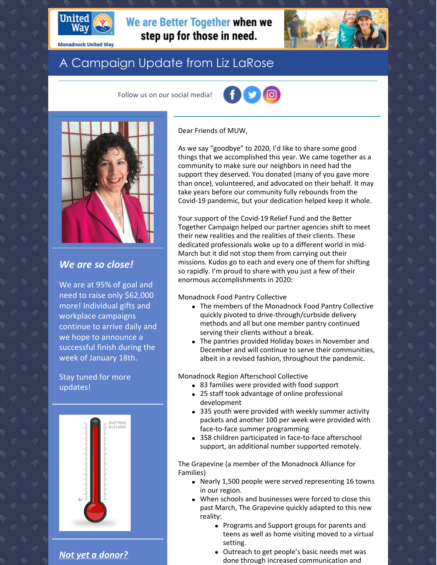

**Monadnock United Way** 

# We are Better Together when we step up for those in need.

# A Campaign Update from Liz LaRose

Follow us on our social media!





## *We are so close!*

We are at 95% of goal and need to raise only \$62,000 more! Individual gifts and workplace campaigns continue to arrive daily and we hope to announce a successful finish during the week of January 18th.

Stay tuned for more updates!



*Not yet a [donor?](https://app.mobilecause.com/f/2vgz/n?reset=1&%253Bid=1&vid=cdoig)*

Dear Friends of MUW,

As we say "goodbye" to 2020, I'd like to share some good things that we accomplished this year. We came together as a community to make sure our neighbors in need had the support they deserved. You donated (many of you gave more than once), volunteered, and advocated on their behalf. It may take years before our community fully rebounds from the Covid-19 pandemic, but your dedication helped keep it whole.

Your support of the Covid-19 Relief Fund and the Better Together Campaign helped our partner agencies shift to meet their new realities and the realities of their clients. These dedicated professionals woke up to a different world in mid-March but it did not stop them from carrying out their missions. Kudos go to each and every one of them for shifting so rapidly. I'm proud to share with you just a few of their enormous accomplishments in 2020:

Monadnock Food Pantry Collective

- The members of the Monadnock Food Pantry Collective quickly pivoted to drive-through/curbside delivery methods and all but one member pantry continued serving their clients without a break.
- The pantries provided Holiday boxes in November and December and will continue to serve their communities, albeit in a revised fashion, throughout the pandemic.

Monadnock Region Afterschool Collective

- 83 families were provided with food support
- 25 staff took advantage of online professional development
- 335 youth were provided with weekly summer activity packets and another 100 per week were provided with face-to-face summer programming
- 358 children participated in face-to-face afterschool support, an additional number supported remotely.

The Grapevine (a member of the Monadnock Alliance for Families)

- Nearly 1,500 people were served representing 16 towns in our region.
- When schools and businesses were forced to close this past March, The Grapevine quickly adapted to this new reality:
	- Programs and Support groups for parents and teens as well as home visiting moved to a virtual setting.
	- Outreach to get people's basic needs met was done through increased communication and